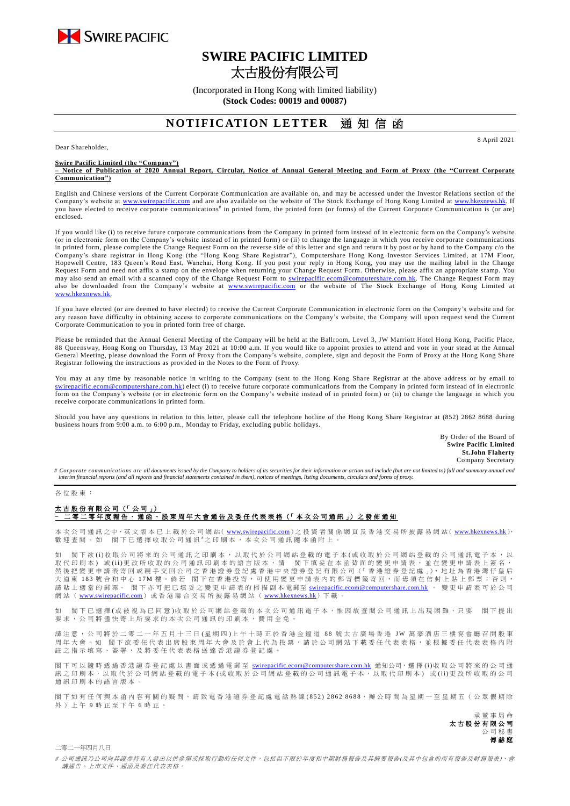

## **SWIRE PACIFIC LIMITED** 太古股份有限公司

(Incorporated in Hong Kong with limited liability) **(Stock Codes: 00019 and 00087)**

## **NOTIFICATION LETTER** 诵 知 信 函

Dear Shareholder,

**Swire Pacific Limited (the "Company")**

**– Notice of Publication of 2020 Annual Report, Circular, Notice of Annual General Meeting and Form of Proxy (the "Current Corporate Communication")**

English and Chinese versions of the Current Corporate Communication are available on, and may be accessed under the Investor Relations section of the Company's website at [www.swirepacific.com](http://www.swirepacific.com/) and are also available on the website of The Stock Exchange of Hong Kong Limited at [www.hkexnews.hk.](http://www.hkexnews.hk/) If you have elected to receive corporate communications<sup>#</sup> in printed form, the printed form (or forms) of the Current Corporate Communication is (or are) enclosed.

If you would like (i) to receive future corporate communications from the Company in printed form instead of in electronic form on the Company's website (or in electronic form on the Company's website instead of in printed form) or (ii) to change the language in which you receive corporate communications in printed form, please complete the Change Request Form on the reverse side of this letter and sign and return it by post or by hand to the Company c/o the Company's share registrar in Hong Kong (the "Hong Kong Share Registrar"), Computershare Hong Kong Investor Services Limited, at 17M Floor, Hopewell Centre, 183 Queen's Road East, Wanchai, Hong Kong. If you post your reply in Hong Kong, you may use the mailing label in the Change Request Form and need not affix a stamp on the envelope when returning your Change Request Form. Otherwise, please affix an appropriate stamp. You may also send an email with a scanned copy of the Change Request Form to *swirepacific.ecom@computershare.com.hk*. The Change Request Form may also be downloaded from the Company's website at [www.swirepacific.com](http://www.swirepacific.com/) or the website of The Stock Exchange of Hong Kong Limited at [www.hkexnews.hk.](http://www.hkexnews.hk/)

If you have elected (or are deemed to have elected) to receive the Current Corporate Communication in electronic form on the Company's website and for any reason have difficulty in obtaining access to corporate communications on the Company's website, the Company will upon request send the Current Corporate Communication to you in printed form free of charge.

Please be reminded that the Annual General Meeting of the Company will be held at the Ballroom, Level 3, JW Marriott Hotel Hong Kong, Pacific Place, 88 Queensway, Hong Kong on Thursday, 13 May 2021 at 10:00 a.m. If you would like to appoint proxies to attend and vote in your stead at the Annual General Meeting, please download the Form of Proxy from the Company's website, complete, sign and deposit the Form of Proxy at the Hong Kong Share Registrar following the instructions as provided in the Notes to the Form of Proxy.

You may at any time by reasonable notice in writing to the Company (sent to the Hong Kong Share Registrar at the above address or by email to tershare.com.hk) elect (i) to receive future corporate communications from the Company in printed form instead of in electronic form on the Company's website (or in electronic form on the Company's website instead of in printed form) or (ii) to change the language in which you receive corporate communications in printed form.

Should you have any questions in relation to this letter, please call the telephone hotline of the Hong Kong Share Registrar at (852) 2862 8688 during business hours from 9:00 a.m. to 6:00 p.m., Monday to Friday, excluding public holidays.

> By Order of the Board of **Swire Pacific Limited St.John Flaherty** Company Secretary

8 April 2021

# Corporate communications are all documents issued by the Company to holders of its securities for their information or action and include (but are not limited to) full and summary annual and *interim financial reports (and all reports and financial statements contained in them), notices of meetings, listing documents, circulars and forms of proxy.*

## 各 位 股 東 :

## 太古股份有限公司 (「公司」) **–** 二 零 二 零 年度報 告、通函 、 股 東 周 年 大 會 通 告 及 委 任 代 表 表 格 (「 本 次 公 司 通 訊 」) 之 發 佈 通 知

本 次 公 司 通 訊 之中、英 文 版 本 已 上 載 於 公 司 網 站( [www.swirepacific.com](http://www.swirepacific.com/)) 之 投 資 者 關 係 網 頁 及 香 港 交 易 所 披 露 易 網 站( [www.hkexnews.hk](http://www.hkexnews.hk/)), 歡 迎 查 閱 。 如 閣 下 已 選 擇 收 取 公 司 通 訊 # 之 印 刷 本 , 本 次 公 司 通 訊 隨 本 函 附 上 。

如 閣下欲 (i)收 取 公 司將 來 的 公 司 通 訊 之 印 刷 本 , 以 取 代 於 公 司 網 的 看 子 本 (或 收 取 於 公 司 網 站 登 載 的 公 司 通 訊 電 子 本 , 以 取代印刷本)或(ii)更改所收取的公司通訊印刷本的語言版本,請 閣下填妥在本函背面的變更申請表,並在變更申請表上簽名, 然後把變更申請表寄回或親手交回公司之香港證券登記處香港中央證券登記有限公司(「香港證券登記處」), 地址為香港灣仔皇后 大 道 東 183 號 合 和 中 心 17M 樓。 倘 若 閣 下 在 香 港 投 寄 , 可 使 用 變 更 申 請 表 内 的 郵 寄 標 籤 寄 回 , 而 毋 須 在 信 封 上 貼 上 郵 票 ; 否 則 , 、<br>「これ」、「」」。<br>請 貼 上 適 當 的 郵 票 。 閣 下 亦 可 把 已 填 妥 之 變 更 申 請 表 的 掃 描 副 本 電郵至 <u>[swirepacific.ecom@computershare.com.hk](mailto:swirepacific.ecom@computershare.com.hk)</u> 。 變 更 申 請 表 可 於 公 司 網站 ( [www.swirepacific.com](http://www.swirepacific.com/)) 或香港聯合交易所披露易網站 ( [www.hkexnews.hk](http://www.hkexnews.hk/)) 下載。

如 閣 下已 邏 擇( 或 被 視 為 已 同 音 )收 取 於 公 司 綑 站 登 載 的 本 次 引 诵 訊 雷 子 本 , 惟 因 故 杏 関 公 司 诵 訊 上 出 現 困 難 , 只 要 一 閣 下 提 出 要求, 公司將儘 快 寄 上 所 要 求 的 本 次 公 司 通 訊 的 印 刷 本 , 費 用 全 免 。

請注意, 公司將於二零二一年五月十三日(星期四)上午十時正於香港金鐘道 88 號太古廣場香港 JW 萬豪酒店三樓宴會廳召開股東 周年大會。如 閣下欲委任代表出席股東周年大會及於會上代為投票,請於公司網站下載委任代表表格,並根據委任代表表格內附 註之指示填寫、簽署,及將委任代表表格送達香港證券登記處

閣下可以 隨時 透 過 香 港 證 券 登 記 處 以 書 面 或 透 過 電 郵 至 [swirepacific.ecom@computershare.com.hk](mailto:swirepacific.ecom@computershare.com.hk) 通知公司, 選 擇 (i)收 取 公 司 將 來 的 公 司 通 訊之 印 刷 本, 以 取 代 於 公 司 網 站 登 載 的 電 子 本 ( 或 收 取 於 公 司 網 站 登 載 的 公 司 通 訊 電 子 本, 以 取 代 印 刷 本) 或 (ii) 更 改 所 收 取 的 公 司 通訊印刷本的語言版本

閣下如有任何與本函內容有關的疑問,請致電香港證券登記處電話熱線(852) 2862 8688,辦公時間為星期一至星期五(公眾假期除 外 ) 上 午 9 時 正 至 下 午 6 時正。

> 承董事 局 命 太古股份有限公司 公 司 秘 書 傅赫庭

二零二一年四月八日

# 公司通訊乃公司向其證券持有人發出以供參照或採取行動的任何文件,包括但不限於年度和中期財務報告及其摘要報告(及其中包含的所有報告及財務報表)、會 議通告、上市文件、通函及委任代表表格。